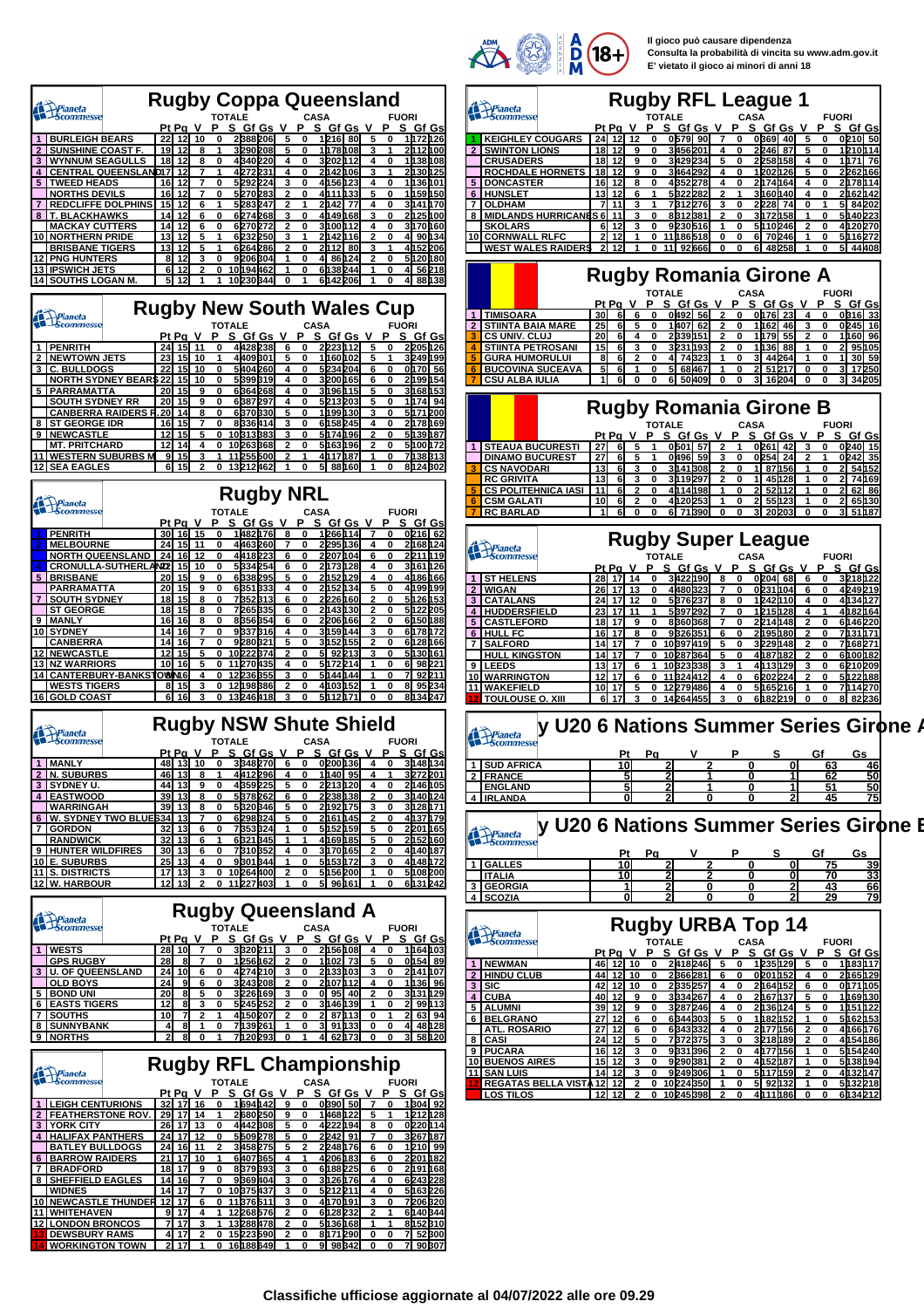

**Il gioco può causare dipendenza Consulta la probabilità di vincita su www.adm.gov.it E' vietato il gioco ai minori di anni 18**

| Pianeta<br>Scommesse         | <b>Rugby Coppa Queensland</b>                                       |                           |            |                | <b>Rugby RFL League 1</b>     |      |                     |                     |
|------------------------------|---------------------------------------------------------------------|---------------------------|------------|----------------|-------------------------------|------|---------------------|---------------------|
|                              | <b>TOTALE</b><br><b>CASA</b><br><b>FUORI</b>                        | Pianeta<br>Scommesse      |            |                | <b>TOTALE</b>                 |      | <b>CASA</b>         | <b>FUORI</b>        |
|                              | S Gf Gsl<br>$Pt$ Pa V<br>Gf Gs V<br>Gf Gs<br>-S                     |                           |            | Pt Pa V        | Gf Gs                         |      | s<br>Gf Gs          | S Gf Gsl            |
| <b>BURLEIGH BEARS</b>        | 1h72h26<br><b>22 12 10</b><br>2B88206l<br>$-80^{\circ}$<br>1 121 61 | <b>KEIGHLEY COUGARS</b>   |            | 24 I           | 0579                          | -901 | 0B691<br>40 I       | 0210 50             |
| <b>2 I SUNSHINE COAST F.</b> | 2h <sub>12</sub> hoo<br>19 12<br>32902081<br>1 h 78 108 L           | <b>2 ISWINTON LIONS</b>   |            | - 18I 12I<br>۹ | 3456201                       |      | 2246 87             | 1210h14             |
| <b>3 I WYNNUM SEAGULLS</b>   | 1 h 38 h 08<br>4B40220I<br>3 2 0 2 H<br>18                          | <b>CRUSADERS</b>          |            | 18 I 12        | 3429234                       |      | 2258158             | 1h71 76             |
|                              | 2h30h25<br><b>4 CENTRAL QUEENSLANDI7</b><br>4272231<br>2M42M061     | <b>ROCHDALE HORNETS</b>   |            |                | 3464292                       |      | <b>202126</b>       | 2262166             |
| <b>5 TWEED HEADS</b>         | 1h36h01<br>50920241<br>16 I12                                       | 5 <b>DONCASTER</b>        |            | 16 I 12 I      | 43522781                      |      | 2h74h64             | 2h78h14             |
| <b>INORTHS DEVILS</b>        | 1 h 59 h 50 l<br>16I<br>4h11h33l<br>5127012831                      | 6 HUNSLET                 |            | 13 I 12        | 5322282                       |      | 3h60h40l            | 2162142             |
| <b>REDCLIFFE DOLPHINS</b>    | 3h41h70<br>15<br>5283247<br>77<br>2M42                              | <b>7 OLDHAM</b>           |            |                | 78122761                      |      | 2228 74             | 5 84 202            |
| <b>8 IT. BLACKHAWKS</b>      | 2h25h00<br>60740681<br>1491681<br>14I                               | 8 MIDLANDS HURRICANES 6   |            |                | 881                           |      | 3h72h58             | 5140223             |
| I MACKAY CUTTERS             | 3h70h60<br>14I<br>3800412<br>6270272                                | <b>SKOLARS</b>            |            |                | 9230516                       |      | 5h10 <sub>246</sub> | 4120270             |
| <b>10   NORTHERN PRIDE</b>   | 4 90h34<br>13 12<br>6232250<br>24424161                             | 10 CORNWALL RLFC          |            |                | 11865181                      |      | 6 70 246            | 5116272             |
| <b>BRISBANE TIGERS</b>       | 4152 206<br>13I<br>6264286<br>-801<br>2h12                          | <b>WEST WALES RAIDERS</b> |            |                | 926661                        |      | 48258<br>61         | 5 44 408            |
| <b>12 I PNG HUNTERS</b>      | 5h 20h 80<br>9206304<br>86124<br>8 I 12                             |                           |            |                |                               |      |                     |                     |
| <b>13 IPSWICH JETS</b>       | 4 56 218<br>10h94462l<br>61382441<br>61 12                          |                           |            |                |                               |      |                     |                     |
| 14 I SOUTHS LOGAN M.         | 6h42 2061<br>4 88 h 38<br>102303441                                 |                           |            |                | <b>Rugby Romania Girone A</b> |      |                     |                     |
|                              |                                                                     |                           |            |                | <b>TOTALE</b>                 |      | <b>CASA</b>         | <b>FUORI</b>        |
|                              |                                                                     |                           |            | Pt Pa V        | S Gf Gs                       | P    | S.<br>Gf Gs         | S Gf Gsl            |
| Prianeta                     | <b>Rugby New South Wales Cup</b>                                    | <b>TIMISOARA</b>          | -30I       |                | 0492 56                       |      | 0h761 231           | 0B <sub>16</sub> 33 |
|                              | <b>TOTALE</b><br><b>CASA</b><br><b>FUORI</b>                        | <b>ISTIINTA BAIA MARE</b> | <b>251</b> |                | 1 140 7 I                     | 62I  | 1862 I 46 I         | 0245 16             |
|                              |                                                                     |                           |            |                |                               |      |                     |                     |

|    | <b>TIMISOARA</b>           | 30I        |    |  | 0492 56  |  | 0h76        | -23 |    |       | 0B16 33 |
|----|----------------------------|------------|----|--|----------|--|-------------|-----|----|-------|---------|
|    | <b>2 STIINTA BAIA MARE</b> | <b>251</b> | 61 |  | 1407 62  |  | 1h62        | 46  |    | 0245I | 16      |
| з. | <b>CS UNIV. CLUJ</b>       | <b>20l</b> | 61 |  | 2339151  |  | 1h79 55     |     |    |       | 1h60 96 |
|    | <b>STIINTA PETROSANI</b>   | 15I        | 6  |  | 3231193  |  | 1h36 88     |     | 21 |       | 95h05   |
|    | <b>GURA HUMORULUI</b>      | 81         |    |  | 4 74 323 |  | 44264       |     |    |       | 30 59   |
|    | <b>BUCOVINA SUCEAVA</b>    | 51         | 6  |  | 68467    |  | 5121        |     |    |       | 17250   |
|    | <b>CSU ALBA IULIA</b>      |            | 6  |  | 50409    |  | 16204<br>31 |     | 31 |       | 34205   |
|    |                            |            |    |  |          |  |             |     |    |       |         |

|                      | <b>Rugby Romania Girone B</b> |     |       |  |  |               |  |           |                |  |             |  |         |                |              |          |         |
|----------------------|-------------------------------|-----|-------|--|--|---------------|--|-----------|----------------|--|-------------|--|---------|----------------|--------------|----------|---------|
|                      |                               |     |       |  |  | <b>TOTALE</b> |  |           |                |  | <b>CASA</b> |  |         |                | <b>FUORI</b> |          |         |
|                      |                               |     | Pt Pa |  |  |               |  |           |                |  |             |  |         | SGfGsVPSGfGsVP |              | S Gf Gsl |         |
|                      | <b>1 ISTEAUA BUCURESTI</b>    | 27I |       |  |  |               |  | 0501 57   | $\overline{2}$ |  |             |  | 0261 42 |                |              |          | 0240 15 |
|                      | <b>DINAMO BUCUREST</b>        |     |       |  |  |               |  | 04961 591 |                |  |             |  | 0254 24 |                |              |          | 0242 35 |
| <b>3 CS NAVODARI</b> |                               | 13I | 61    |  |  |               |  | 3141308   |                |  |             |  | 87156   |                |              |          | 54h52   |
| <b>IRC GRIVITA</b>   |                               | 13I |       |  |  |               |  | 3119297   | 2              |  |             |  | 45h28   |                |              |          | 74h69   |
|                      | <b>5 CS POLITEHNICA IASI</b>  |     |       |  |  |               |  | 14198     |                |  |             |  |         |                |              | 62       | 86      |
| <b>CSM GALATI</b>    |                               | 10I | 61    |  |  |               |  | 20253     |                |  |             |  | 55123   |                |              |          |         |
| <b>RC BARLAD</b>     |                               |     |       |  |  |               |  |           |                |  |             |  |         |                |              |          |         |
|                      |                               |     |       |  |  |               |  |           |                |  |             |  |         |                |              |          |         |

|              | Pianeta                 |    |       |    |   |        |          | <b>Rugby Super League</b> |   |             |       |                 |   |   |                    |
|--------------|-------------------------|----|-------|----|---|--------|----------|---------------------------|---|-------------|-------|-----------------|---|---|--------------------|
|              |                         |    |       |    |   | TOTALE |          |                           |   | <b>CASA</b> |       |                 |   |   | <b>FUORI</b>       |
|              |                         |    | Pt Pa |    |   | s      | Gf Gs    |                           |   | s           |       | Gf Gs           |   |   | s<br><b>Gf Gsl</b> |
|              | 1 ST HELENS             | 28 |       | 14 | o |        | 3422190  | 8                         | 0 |             | 02041 | 68              | 6 | 0 | 3218122            |
| $\mathbf{2}$ | <b>I</b> WIGAN          | 26 |       | 13 | o |        | 4480323  |                           | 0 |             |       | 0231104         | 6 | O | 4249219            |
|              | <b>3 CATALANS</b>       | 24 |       | 12 | O |        | 5376237  | 8                         | 0 |             |       | 1242h10         | 4 | O | 4134h27            |
|              | 4 <b>HUDDERSFIELD</b>   | 23 |       | 11 |   |        | 5397292  |                           | 0 |             |       | 1215128         | 4 |   | 4182164            |
| 5            | <b>CASTLEFORD</b>       | 18 |       | 9  | o |        | 8360368  |                           | 0 |             |       | 2214h48         | 2 | o | 6h46 <b>220</b>    |
| 6            | <b>HULL FC</b>          | 16 |       | 8  | o |        | 9326351  | 6                         | 0 |             |       | 2h95h80         | 2 | O | 7131 h 71          |
| 7            | <b>ISALFORD</b>         | 14 |       |    | o |        | 10397419 | 5                         | 0 |             |       | 3229h48         | 2 | O | 7168271            |
|              | <b>HULL KINGSTON</b>    | 14 |       |    | ŋ |        | 10287364 | 5                         | 0 |             |       | 4h87h82         | 2 | O | 6100182            |
|              | 9 ILEEDS                | 13 |       | 6  |   |        | 10323338 | 3                         |   |             |       | 4h13h29         | 3 | 0 | 6210209            |
|              | <b>10 WARRINGTON</b>    | 12 |       | 6  |   |        | 324412   | 4                         | 0 |             |       | 6202224         | 2 | O | 5h22h88            |
|              | <b>WAKEFIELD</b>        | 10 |       | 5  |   |        | 12279486 | 4                         | 0 |             |       | 5h65216         |   | O | 7114270            |
|              | <b>TOULOUSE O. XIII</b> | 6  |       |    |   |        | 14264455 |                           | 0 |             |       | 6h82 <b>219</b> | O | O | 82236<br>81        |

## **Rugber 5 Value 19 Value 19 Value 19 Value 19 Value 19 Value 19 Value 19 Value 1**

| <b>By Acommesse</b> |    |    |  |    |    |    |
|---------------------|----|----|--|----|----|----|
|                     | D÷ | Pα |  | œ  | Gf | Gs |
| <b>SUD AFRICA</b>   | 10 |    |  | 01 | 63 | 46 |
| <b>IFRANCE</b>      | 51 |    |  |    | 62 | 50 |
| <b>ENGLAND</b>      | ы  |    |  |    | 51 | 50 |
| <b>IRLANDA</b>      |    |    |  |    | 45 | 75 |

## **Rugby U20 6 Nations Summer Series Girone B**

| $\blacksquare$ Scommesse    |     |       |     |              |               |           |   |              |                          |    |              |          |
|-----------------------------|-----|-------|-----|--------------|---------------|-----------|---|--------------|--------------------------|----|--------------|----------|
|                             |     | Рt    |     | Pa           |               |           |   |              | s                        | Gf |              | Gs       |
| 1 I GALLES                  |     |       | 10I |              |               |           |   |              |                          |    | 75           | 39       |
| <b>ITALIA</b>               |     |       | 10  |              |               |           |   |              |                          |    | 70           | 33       |
| 3   GEORGIA                 |     |       |     |              |               |           |   |              |                          |    | 43           | 66       |
| 4 SCOZIA                    |     |       | Ol  |              |               |           |   |              |                          |    | 29           | 79       |
|                             |     |       |     |              |               |           |   |              |                          |    |              |          |
| <b>Pianeta</b><br>Scommesse |     |       |     |              |               |           |   |              | <b>Rugby URBA Top 14</b> |    |              |          |
|                             |     |       |     |              | <b>TOTALE</b> |           |   |              | <b>CASA</b>              |    | <b>FUORI</b> |          |
|                             |     | Pt Pa |     |              |               | S Gf Gs V |   |              | S Gf Gs                  |    |              | S Gf Gsl |
| 1 INEWMAN                   | 46  |       | 10  | <sup>0</sup> |               | 2418246   | 5 | $\mathbf{0}$ | 1235 129 I               | 5  | o            | 1183117  |
| <b>2 HINDU CLUB</b>         | 44  |       | 10  | O            |               | 2366281   | 6 |              | 0201152                  |    |              | 2165129  |
| $3$ SIC                     | 42I | 12I   | 10  | 0            |               | 2335257   |   | 0            | 2h64h52l                 | 6  |              | 0171105  |

| $3$ SIC                             |      | 42 12      |   |  | 2335257  |   |   |  | 2h64h52 |  | 0h71h05       |  |
|-------------------------------------|------|------------|---|--|----------|---|---|--|---------|--|---------------|--|
| 4 CUBA                              | 40I  | <b>12l</b> | 9 |  | 3334267  |   |   |  | 2h67h37 |  | 1 h 69 h 30 l |  |
| <b>5 I ALUMNI</b>                   | 39I  | 12I        | 9 |  | 3287246  |   |   |  | 2h36h24 |  | 1h51h22       |  |
| I 6 I BELGRANO                      | 27 I | 12I        | 6 |  | 6344303  |   |   |  | 1h82h52 |  | 5162h53       |  |
| <b>JATL, ROSARIO</b>                | 27 I | <b>12l</b> |   |  | 6343332  |   |   |  | 2h77h56 |  | 4166h76       |  |
| 8 I CASI                            |      | 24 12      |   |  | 7872B751 | 3 | 0 |  | 3218189 |  | 4154186       |  |
| 9 PUCARA                            |      | 16 12      |   |  | 9331396  |   |   |  | 4h77h56 |  | 5154240       |  |
| <b>10 BUENOS AIRES</b>              |      | 15 12      |   |  | 9290381  |   |   |  | 4h52h87 |  | 5138194       |  |
| 111 I SAN LUIS                      |      | 14 12      |   |  | 9249306  |   |   |  | 5h17h59 |  | 4132h47       |  |
| <b>12 REGATAS BELLA VISTA 12 12</b> |      |            |   |  | 10224350 |   |   |  | 5 92h32 |  | 5132218       |  |
| <b>LOS TILOS</b>                    |      | 12 12      |   |  | 10245398 | 2 | 0 |  | 4h11h86 |  | 6134212       |  |

| Pt Pa<br>Р<br><u>SGfGsV</u><br>P<br><u>SGfGs</u><br><b>V</b><br>P<br>S Gf Gs<br>- V<br>4428238<br>2223112<br>2205126<br>1 PENRITH<br>15<br>24<br>11<br>5<br>O<br>O<br>O<br>6<br>4409301<br>23<br>249 h 99<br>2<br><b>NEWTOWN JETS</b><br>15<br>10<br>1160102<br>1<br>5<br>0<br>5<br>3<br>3 C. BULLDOGS<br>22<br>15<br>10<br>0<br>5404260<br>5234204<br>0h70 56<br>4<br>0<br>6<br>0<br><b>NORTH SYDNEY BEAR\$22</b><br>15<br>5399319<br>3200165<br>2h99h54<br>10<br>0<br>4<br>0<br>6<br>0<br>5 PARRAMATTA<br>20<br>15<br>9<br>0<br>6364268<br>4<br>0<br>3196115<br>5<br>0<br>3168153<br><b>SOUTH SYDNEY RR</b><br>20<br>15<br>9<br>0<br>6387297<br>5213203<br>5<br>1174 94<br>4<br>0<br>0<br>20<br>$\overline{14}$<br>6370330<br>1199130<br>5171200<br><b>CANBERRA RAIDERS F</b><br>3<br>8<br>0<br>5<br>0<br>0<br>8<br><b>ST GEORGE IDR</b><br>15<br>8336414<br>3<br>6158245<br>2178169<br>16<br>7<br>0<br>0<br>4<br>0<br>9 NEWCASTLE<br>12<br>15<br>10313383<br>5139187<br>5<br>5174196<br>$\overline{2}$<br>0<br>3<br>0<br>0<br><b>MT. PRITCHARD</b><br>12<br>14<br>4<br>0<br>10263368<br>$\mathbf{2}$<br>0<br>5163196<br>0<br>5h00h72<br>2<br><u>11   WESTERN SUBURBS M</u><br>7138313<br>-91<br>15<br>3<br>1<br>11 255 500<br>$\mathbf{2}$<br>1<br>4117187<br>1<br>0<br><u>12 SEA EAGLES</u><br>15<br>13212462<br>5 88160<br>8124302<br>2<br>0<br>6<br>0<br>1<br>0<br><b>Rugby NRL</b><br>Prianeta<br>Scommesse<br><b>TOTALE</b><br><b>FUORI</b><br><b>CASA</b><br><u>S Gf Gs V</u><br>∪ 1µ482 <u>h76 8</u><br>S Gf Gs<br><u>v</u><br><u>SGfGs</u><br><u>Pt Pa_V</u><br>Р<br>P.<br>P<br>1266114<br>0216 62<br><b>PENRITH</b><br>30 16 15<br>$\overline{7}$<br>0<br>0<br>0<br>15<br>2295136<br><b>MELBOURNE</b><br>24<br>11<br>0<br>4463260<br>4<br>211681124<br>0<br>0<br>4418223<br><b>NORTH QUEENSLAND</b><br>24<br>16<br>12<br>0<br>2207104<br>2211119<br>6<br>0<br>6<br>0<br>5334254<br>2h73128<br>3161126<br><b>CRONULLA-SUTHERLAND</b><br>15<br>10<br>4<br>0<br>6<br>0<br>4<br>0<br>6338295<br><b>BRISBANE</b><br>15<br>0<br>2152129<br>4186166<br>20<br>9<br>5<br>0<br>4<br>0<br>PARRAMATTA<br><b>20</b><br>15<br>6351333<br>4<br>2152134<br>5<br>4199199<br>9<br>0<br>0<br>0<br>18<br>7352313<br>2226160<br>5126153<br>  SOUTH SYDNEY<br>15<br>8<br>0<br>6<br>0<br>2<br>0<br><b>ST GEORGE</b><br>18<br>15<br>7265335<br>2143130<br>$\overline{2}$<br>5122205<br>8<br>0<br>6<br>0<br>0<br>16<br>16<br>8356354<br>2206166<br>6150188<br>9 <sup>1</sup><br><b>MANLY</b><br>0<br>$\overline{2}$<br>0<br>8<br>6<br>0<br>9337316<br>10 <sub>1</sub><br><b>SYDNEY</b><br>14<br>16<br>0<br>0<br>3159144<br>6h78h72<br>7<br>4<br>3<br>0<br><b>CANBERRA</b><br>14<br>16<br>0<br>9280321<br>5<br>0<br>3152155<br>$\overline{2}$<br>0<br>6128166<br>7<br>12<br>15<br><u>12 NEWCASTLE</u><br>0 10 22 2 3 7 4<br>5 92 213<br>5130161<br>5<br>2<br>$\mathbf{0}$<br>3<br>0<br><b>13 NZ WARRIORS</b><br>10<br>16<br>0 11 270 435<br>5172214<br>6 98 221<br>5<br>4<br>0<br>1<br>0<br>14 CANTERBURY-BANKSTOWNI6<br>4<br>12 236 355<br>5144144<br>7 92 211<br>0<br>٩<br>0<br>1<br>0<br>8 95 234<br>12198386<br>15<br><b>WESTS TIGERS</b><br>8<br>3<br>0<br>2<br>0<br>4103152<br>1<br>0<br>$6$ 16<br>8134247<br><u>16 GOLD COAST</u><br>3<br>0<br>13246418<br>3<br>0<br>5112171<br>0<br>0<br><b>Rugby NSW Shute Shield</b><br>Prianeta<br>Scommesse<br><b>TOTALE</b><br>CASA<br><b>FUORI</b><br>P S Gf Gs V<br>Pt Pa V<br>P.<br>S Gf Gs V<br>P<br>S Gf Gs<br>0200136<br>3148134<br>1 MANLY<br>48<br>13110<br>3348270<br>$\overline{0}$<br>0<br>6<br>0<br>4<br><b>N. SUBURBS</b><br>46<br>13<br>4412296<br>1h40 95<br>3272201<br>2 <br>1<br>4<br>8<br>4<br>0<br>1<br>4359225<br>13<br>2213120<br>2h46h05<br>3<br>  SYDNEY U.<br>44<br>9<br>0<br>5<br>0<br>0<br>4<br>5378262<br>2238138<br>4 EASTWOOD<br>39<br>13<br>8<br>0<br>0<br>$\overline{2}$<br>0<br>3140124<br>6<br><b>WARRINGAH</b><br>39<br>13<br>5320346<br>2192175<br>3128171<br>8<br>0<br>5<br>0<br>0<br>3<br>6 W. SYDNEY TWO BLUES34<br>13<br>0<br>6298324<br>5<br>0<br>2161145<br>$\overline{a}$<br>4137179<br>7<br>0<br>7<br><b>GORDON</b><br>32<br>13<br>$\overline{\mathbf{0}}$<br>7353324<br>$\overline{1}$<br>$\overline{\mathbf{0}}$<br>5152159<br>5<br>$\overline{0}$<br>2201165<br>6<br>32<br>13<br>6321345<br>2152160<br><b>RANDWICK</b><br>1<br>1<br>1<br>4169185<br>6<br>5<br>0<br>9 HUNTER WILDFIRES<br>30<br>13<br>6<br>0<br>7310352<br>4<br>0<br>3170165<br>2<br>0<br>4140187<br>10 IE. SUBURBS<br>25<br>13<br>9301344<br>5h53h72<br>4h48h72<br>4<br>0<br>1<br>0<br>0<br>3<br>11 S. DISTRICTS<br>17<br>13<br>3<br>10264400<br>2<br>0<br>5156200<br>0<br>5108200<br>0<br>1<br><u>12 W. HARBOUR</u><br>12 13<br>$\mathbf{2}$<br>0<br>11 227 403<br>0<br>5 96 161<br>6131242<br>1<br>O<br><b>Rugby Queensland A</b><br>Pianeta<br>Scommesse<br><b>TOTALE</b><br><b>CASA</b><br><b>FUORI</b><br>Pt Pa<br>S Gf Gs V<br>S Gf Gs V<br>Р<br>P.<br><u>PSGfGs</u><br>1 WESTS<br>28<br>10<br>3320211<br>3<br>2156108<br>1164103<br>0<br>0<br>4<br>0<br><b>GPS RUGBY</b><br>28<br>1256162<br>1102 73<br>0154 89<br>8<br>0<br>2<br>0<br>5<br>0<br>7<br>3 U. OF QUEENSLAND<br>24<br>10<br>6<br>0<br>4274210<br>3<br>0<br>2h33h03<br>2h41h07<br>3<br>0<br><b>OLD BOYS</b><br>24<br>3243208<br>2107112<br>1136 96<br>9<br>0<br>0<br>4<br>6<br>0<br>20<br>3226169<br>3131129<br><b>BOND UNI</b><br>2<br>8<br>5<br>$\bf{0}$<br>3<br>0<br>0 95<br>40<br>0<br>12<br>5245252<br>$\overline{a}$<br>3146139<br>$\mathbf{z}$<br>99113<br><u>6 EASTS TIGERS</u><br>8<br>3<br>0<br>0<br>1<br>0<br>7<br>4150207<br>$2 \ 63 \ 94$<br><b>7 SOUTHS</b><br>10<br>2<br>2 87113<br>2<br>1<br>0<br>0<br>1<br>8<br>7139261<br>3 91 133<br>8 SUNNYBANK<br>0<br>4 48 128<br>$\overline{4}$<br>1<br>1<br>0<br>0<br>0<br>3 58 120<br>9 NORTHS<br>$\overline{\mathbf{2}}$<br>8<br>7120293<br>4 62 173<br>0<br>1<br>0<br>1<br>0<br>0 |                                  | <b>M</b> Scommesse |  |  | <b>TOTALE</b> |  | <b>CASA</b> |  |  | <b>FUORI</b> |  |
|-------------------------------------------------------------------------------------------------------------------------------------------------------------------------------------------------------------------------------------------------------------------------------------------------------------------------------------------------------------------------------------------------------------------------------------------------------------------------------------------------------------------------------------------------------------------------------------------------------------------------------------------------------------------------------------------------------------------------------------------------------------------------------------------------------------------------------------------------------------------------------------------------------------------------------------------------------------------------------------------------------------------------------------------------------------------------------------------------------------------------------------------------------------------------------------------------------------------------------------------------------------------------------------------------------------------------------------------------------------------------------------------------------------------------------------------------------------------------------------------------------------------------------------------------------------------------------------------------------------------------------------------------------------------------------------------------------------------------------------------------------------------------------------------------------------------------------------------------------------------------------------------------------------------------------------------------------------------------------------------------------------------------------------------------------------------------------------------------------------------------------------------------------------------------------------------------------------------------------------------------------------------------------------------------------------------------------------------------------------------------------------------------------------------------------------------------------------------------------------------------------------------------------------------------------------------------------------------------------------------------------------------------------------------------------------------------------------------------------------------------------------------------------------------------------------------------------------------------------------------------------------------------------------------------------------------------------------------------------------------------------------------------------------------------------------------------------------------------------------------------------------------------------------------------------------------------------------------------------------------------------------------------------------------------------------------------------------------------------------------------------------------------------------------------------------------------------------------------------------------------------------------------------------------------------------------------------------------------------------------------------------------------------------------------------------------------------------------------------------------------------------------------------------------------------------------------------------------------------------------------------------------------------------------------------------------------------------------------------------------------------------------------------------------------------------------------------------------------------------------------------------------------------------------------------------------------------------------------------------------------------------------------------------------------------------------------------------------------------------------------------------------------------------------------------------------------------------------------------------------------------------------------------------------------------------------------------------------------------------------------------------------------------------------------------------------------------------------------------------------------------------------------------------------------------------------------------------------------------------------------------------------------------------------------------------------------------------------------------------------------------------------------------------------------------------------------------------------------------------------------------------------------------------------------------------------------------------------------------------------------------------------------------------------------------------------------------------------------------------------------------------------------------------------------------------------------------------------------------------------------------------------------------------------------------------------------------------------------------------------------------------------------------------------------------------------------------------------------------------------------------------------------------------------------------------------------------------------------------------|----------------------------------|--------------------|--|--|---------------|--|-------------|--|--|--------------|--|
|                                                                                                                                                                                                                                                                                                                                                                                                                                                                                                                                                                                                                                                                                                                                                                                                                                                                                                                                                                                                                                                                                                                                                                                                                                                                                                                                                                                                                                                                                                                                                                                                                                                                                                                                                                                                                                                                                                                                                                                                                                                                                                                                                                                                                                                                                                                                                                                                                                                                                                                                                                                                                                                                                                                                                                                                                                                                                                                                                                                                                                                                                                                                                                                                                                                                                                                                                                                                                                                                                                                                                                                                                                                                                                                                                                                                                                                                                                                                                                                                                                                                                                                                                                                                                                                                                                                                                                                                                                                                                                                                                                                                                                                                                                                                                                                                                                                                                                                                                                                                                                                                                                                                                                                                                                                                                                                                                                                                                                                                                                                                                                                                                                                                                                                                                                                                                                                             |                                  |                    |  |  |               |  |             |  |  |              |  |
|                                                                                                                                                                                                                                                                                                                                                                                                                                                                                                                                                                                                                                                                                                                                                                                                                                                                                                                                                                                                                                                                                                                                                                                                                                                                                                                                                                                                                                                                                                                                                                                                                                                                                                                                                                                                                                                                                                                                                                                                                                                                                                                                                                                                                                                                                                                                                                                                                                                                                                                                                                                                                                                                                                                                                                                                                                                                                                                                                                                                                                                                                                                                                                                                                                                                                                                                                                                                                                                                                                                                                                                                                                                                                                                                                                                                                                                                                                                                                                                                                                                                                                                                                                                                                                                                                                                                                                                                                                                                                                                                                                                                                                                                                                                                                                                                                                                                                                                                                                                                                                                                                                                                                                                                                                                                                                                                                                                                                                                                                                                                                                                                                                                                                                                                                                                                                                                             |                                  |                    |  |  |               |  |             |  |  |              |  |
|                                                                                                                                                                                                                                                                                                                                                                                                                                                                                                                                                                                                                                                                                                                                                                                                                                                                                                                                                                                                                                                                                                                                                                                                                                                                                                                                                                                                                                                                                                                                                                                                                                                                                                                                                                                                                                                                                                                                                                                                                                                                                                                                                                                                                                                                                                                                                                                                                                                                                                                                                                                                                                                                                                                                                                                                                                                                                                                                                                                                                                                                                                                                                                                                                                                                                                                                                                                                                                                                                                                                                                                                                                                                                                                                                                                                                                                                                                                                                                                                                                                                                                                                                                                                                                                                                                                                                                                                                                                                                                                                                                                                                                                                                                                                                                                                                                                                                                                                                                                                                                                                                                                                                                                                                                                                                                                                                                                                                                                                                                                                                                                                                                                                                                                                                                                                                                                             |                                  |                    |  |  |               |  |             |  |  |              |  |
|                                                                                                                                                                                                                                                                                                                                                                                                                                                                                                                                                                                                                                                                                                                                                                                                                                                                                                                                                                                                                                                                                                                                                                                                                                                                                                                                                                                                                                                                                                                                                                                                                                                                                                                                                                                                                                                                                                                                                                                                                                                                                                                                                                                                                                                                                                                                                                                                                                                                                                                                                                                                                                                                                                                                                                                                                                                                                                                                                                                                                                                                                                                                                                                                                                                                                                                                                                                                                                                                                                                                                                                                                                                                                                                                                                                                                                                                                                                                                                                                                                                                                                                                                                                                                                                                                                                                                                                                                                                                                                                                                                                                                                                                                                                                                                                                                                                                                                                                                                                                                                                                                                                                                                                                                                                                                                                                                                                                                                                                                                                                                                                                                                                                                                                                                                                                                                                             |                                  |                    |  |  |               |  |             |  |  |              |  |
|                                                                                                                                                                                                                                                                                                                                                                                                                                                                                                                                                                                                                                                                                                                                                                                                                                                                                                                                                                                                                                                                                                                                                                                                                                                                                                                                                                                                                                                                                                                                                                                                                                                                                                                                                                                                                                                                                                                                                                                                                                                                                                                                                                                                                                                                                                                                                                                                                                                                                                                                                                                                                                                                                                                                                                                                                                                                                                                                                                                                                                                                                                                                                                                                                                                                                                                                                                                                                                                                                                                                                                                                                                                                                                                                                                                                                                                                                                                                                                                                                                                                                                                                                                                                                                                                                                                                                                                                                                                                                                                                                                                                                                                                                                                                                                                                                                                                                                                                                                                                                                                                                                                                                                                                                                                                                                                                                                                                                                                                                                                                                                                                                                                                                                                                                                                                                                                             |                                  |                    |  |  |               |  |             |  |  |              |  |
|                                                                                                                                                                                                                                                                                                                                                                                                                                                                                                                                                                                                                                                                                                                                                                                                                                                                                                                                                                                                                                                                                                                                                                                                                                                                                                                                                                                                                                                                                                                                                                                                                                                                                                                                                                                                                                                                                                                                                                                                                                                                                                                                                                                                                                                                                                                                                                                                                                                                                                                                                                                                                                                                                                                                                                                                                                                                                                                                                                                                                                                                                                                                                                                                                                                                                                                                                                                                                                                                                                                                                                                                                                                                                                                                                                                                                                                                                                                                                                                                                                                                                                                                                                                                                                                                                                                                                                                                                                                                                                                                                                                                                                                                                                                                                                                                                                                                                                                                                                                                                                                                                                                                                                                                                                                                                                                                                                                                                                                                                                                                                                                                                                                                                                                                                                                                                                                             |                                  |                    |  |  |               |  |             |  |  |              |  |
|                                                                                                                                                                                                                                                                                                                                                                                                                                                                                                                                                                                                                                                                                                                                                                                                                                                                                                                                                                                                                                                                                                                                                                                                                                                                                                                                                                                                                                                                                                                                                                                                                                                                                                                                                                                                                                                                                                                                                                                                                                                                                                                                                                                                                                                                                                                                                                                                                                                                                                                                                                                                                                                                                                                                                                                                                                                                                                                                                                                                                                                                                                                                                                                                                                                                                                                                                                                                                                                                                                                                                                                                                                                                                                                                                                                                                                                                                                                                                                                                                                                                                                                                                                                                                                                                                                                                                                                                                                                                                                                                                                                                                                                                                                                                                                                                                                                                                                                                                                                                                                                                                                                                                                                                                                                                                                                                                                                                                                                                                                                                                                                                                                                                                                                                                                                                                                                             |                                  |                    |  |  |               |  |             |  |  |              |  |
|                                                                                                                                                                                                                                                                                                                                                                                                                                                                                                                                                                                                                                                                                                                                                                                                                                                                                                                                                                                                                                                                                                                                                                                                                                                                                                                                                                                                                                                                                                                                                                                                                                                                                                                                                                                                                                                                                                                                                                                                                                                                                                                                                                                                                                                                                                                                                                                                                                                                                                                                                                                                                                                                                                                                                                                                                                                                                                                                                                                                                                                                                                                                                                                                                                                                                                                                                                                                                                                                                                                                                                                                                                                                                                                                                                                                                                                                                                                                                                                                                                                                                                                                                                                                                                                                                                                                                                                                                                                                                                                                                                                                                                                                                                                                                                                                                                                                                                                                                                                                                                                                                                                                                                                                                                                                                                                                                                                                                                                                                                                                                                                                                                                                                                                                                                                                                                                             |                                  |                    |  |  |               |  |             |  |  |              |  |
|                                                                                                                                                                                                                                                                                                                                                                                                                                                                                                                                                                                                                                                                                                                                                                                                                                                                                                                                                                                                                                                                                                                                                                                                                                                                                                                                                                                                                                                                                                                                                                                                                                                                                                                                                                                                                                                                                                                                                                                                                                                                                                                                                                                                                                                                                                                                                                                                                                                                                                                                                                                                                                                                                                                                                                                                                                                                                                                                                                                                                                                                                                                                                                                                                                                                                                                                                                                                                                                                                                                                                                                                                                                                                                                                                                                                                                                                                                                                                                                                                                                                                                                                                                                                                                                                                                                                                                                                                                                                                                                                                                                                                                                                                                                                                                                                                                                                                                                                                                                                                                                                                                                                                                                                                                                                                                                                                                                                                                                                                                                                                                                                                                                                                                                                                                                                                                                             |                                  |                    |  |  |               |  |             |  |  |              |  |
|                                                                                                                                                                                                                                                                                                                                                                                                                                                                                                                                                                                                                                                                                                                                                                                                                                                                                                                                                                                                                                                                                                                                                                                                                                                                                                                                                                                                                                                                                                                                                                                                                                                                                                                                                                                                                                                                                                                                                                                                                                                                                                                                                                                                                                                                                                                                                                                                                                                                                                                                                                                                                                                                                                                                                                                                                                                                                                                                                                                                                                                                                                                                                                                                                                                                                                                                                                                                                                                                                                                                                                                                                                                                                                                                                                                                                                                                                                                                                                                                                                                                                                                                                                                                                                                                                                                                                                                                                                                                                                                                                                                                                                                                                                                                                                                                                                                                                                                                                                                                                                                                                                                                                                                                                                                                                                                                                                                                                                                                                                                                                                                                                                                                                                                                                                                                                                                             |                                  |                    |  |  |               |  |             |  |  |              |  |
|                                                                                                                                                                                                                                                                                                                                                                                                                                                                                                                                                                                                                                                                                                                                                                                                                                                                                                                                                                                                                                                                                                                                                                                                                                                                                                                                                                                                                                                                                                                                                                                                                                                                                                                                                                                                                                                                                                                                                                                                                                                                                                                                                                                                                                                                                                                                                                                                                                                                                                                                                                                                                                                                                                                                                                                                                                                                                                                                                                                                                                                                                                                                                                                                                                                                                                                                                                                                                                                                                                                                                                                                                                                                                                                                                                                                                                                                                                                                                                                                                                                                                                                                                                                                                                                                                                                                                                                                                                                                                                                                                                                                                                                                                                                                                                                                                                                                                                                                                                                                                                                                                                                                                                                                                                                                                                                                                                                                                                                                                                                                                                                                                                                                                                                                                                                                                                                             |                                  |                    |  |  |               |  |             |  |  |              |  |
|                                                                                                                                                                                                                                                                                                                                                                                                                                                                                                                                                                                                                                                                                                                                                                                                                                                                                                                                                                                                                                                                                                                                                                                                                                                                                                                                                                                                                                                                                                                                                                                                                                                                                                                                                                                                                                                                                                                                                                                                                                                                                                                                                                                                                                                                                                                                                                                                                                                                                                                                                                                                                                                                                                                                                                                                                                                                                                                                                                                                                                                                                                                                                                                                                                                                                                                                                                                                                                                                                                                                                                                                                                                                                                                                                                                                                                                                                                                                                                                                                                                                                                                                                                                                                                                                                                                                                                                                                                                                                                                                                                                                                                                                                                                                                                                                                                                                                                                                                                                                                                                                                                                                                                                                                                                                                                                                                                                                                                                                                                                                                                                                                                                                                                                                                                                                                                                             |                                  |                    |  |  |               |  |             |  |  |              |  |
|                                                                                                                                                                                                                                                                                                                                                                                                                                                                                                                                                                                                                                                                                                                                                                                                                                                                                                                                                                                                                                                                                                                                                                                                                                                                                                                                                                                                                                                                                                                                                                                                                                                                                                                                                                                                                                                                                                                                                                                                                                                                                                                                                                                                                                                                                                                                                                                                                                                                                                                                                                                                                                                                                                                                                                                                                                                                                                                                                                                                                                                                                                                                                                                                                                                                                                                                                                                                                                                                                                                                                                                                                                                                                                                                                                                                                                                                                                                                                                                                                                                                                                                                                                                                                                                                                                                                                                                                                                                                                                                                                                                                                                                                                                                                                                                                                                                                                                                                                                                                                                                                                                                                                                                                                                                                                                                                                                                                                                                                                                                                                                                                                                                                                                                                                                                                                                                             |                                  |                    |  |  |               |  |             |  |  |              |  |
|                                                                                                                                                                                                                                                                                                                                                                                                                                                                                                                                                                                                                                                                                                                                                                                                                                                                                                                                                                                                                                                                                                                                                                                                                                                                                                                                                                                                                                                                                                                                                                                                                                                                                                                                                                                                                                                                                                                                                                                                                                                                                                                                                                                                                                                                                                                                                                                                                                                                                                                                                                                                                                                                                                                                                                                                                                                                                                                                                                                                                                                                                                                                                                                                                                                                                                                                                                                                                                                                                                                                                                                                                                                                                                                                                                                                                                                                                                                                                                                                                                                                                                                                                                                                                                                                                                                                                                                                                                                                                                                                                                                                                                                                                                                                                                                                                                                                                                                                                                                                                                                                                                                                                                                                                                                                                                                                                                                                                                                                                                                                                                                                                                                                                                                                                                                                                                                             |                                  |                    |  |  |               |  |             |  |  |              |  |
|                                                                                                                                                                                                                                                                                                                                                                                                                                                                                                                                                                                                                                                                                                                                                                                                                                                                                                                                                                                                                                                                                                                                                                                                                                                                                                                                                                                                                                                                                                                                                                                                                                                                                                                                                                                                                                                                                                                                                                                                                                                                                                                                                                                                                                                                                                                                                                                                                                                                                                                                                                                                                                                                                                                                                                                                                                                                                                                                                                                                                                                                                                                                                                                                                                                                                                                                                                                                                                                                                                                                                                                                                                                                                                                                                                                                                                                                                                                                                                                                                                                                                                                                                                                                                                                                                                                                                                                                                                                                                                                                                                                                                                                                                                                                                                                                                                                                                                                                                                                                                                                                                                                                                                                                                                                                                                                                                                                                                                                                                                                                                                                                                                                                                                                                                                                                                                                             | 5 <sup>1</sup><br>$\overline{7}$ |                    |  |  |               |  |             |  |  |              |  |
|                                                                                                                                                                                                                                                                                                                                                                                                                                                                                                                                                                                                                                                                                                                                                                                                                                                                                                                                                                                                                                                                                                                                                                                                                                                                                                                                                                                                                                                                                                                                                                                                                                                                                                                                                                                                                                                                                                                                                                                                                                                                                                                                                                                                                                                                                                                                                                                                                                                                                                                                                                                                                                                                                                                                                                                                                                                                                                                                                                                                                                                                                                                                                                                                                                                                                                                                                                                                                                                                                                                                                                                                                                                                                                                                                                                                                                                                                                                                                                                                                                                                                                                                                                                                                                                                                                                                                                                                                                                                                                                                                                                                                                                                                                                                                                                                                                                                                                                                                                                                                                                                                                                                                                                                                                                                                                                                                                                                                                                                                                                                                                                                                                                                                                                                                                                                                                                             |                                  |                    |  |  |               |  |             |  |  |              |  |
|                                                                                                                                                                                                                                                                                                                                                                                                                                                                                                                                                                                                                                                                                                                                                                                                                                                                                                                                                                                                                                                                                                                                                                                                                                                                                                                                                                                                                                                                                                                                                                                                                                                                                                                                                                                                                                                                                                                                                                                                                                                                                                                                                                                                                                                                                                                                                                                                                                                                                                                                                                                                                                                                                                                                                                                                                                                                                                                                                                                                                                                                                                                                                                                                                                                                                                                                                                                                                                                                                                                                                                                                                                                                                                                                                                                                                                                                                                                                                                                                                                                                                                                                                                                                                                                                                                                                                                                                                                                                                                                                                                                                                                                                                                                                                                                                                                                                                                                                                                                                                                                                                                                                                                                                                                                                                                                                                                                                                                                                                                                                                                                                                                                                                                                                                                                                                                                             |                                  |                    |  |  |               |  |             |  |  |              |  |
|                                                                                                                                                                                                                                                                                                                                                                                                                                                                                                                                                                                                                                                                                                                                                                                                                                                                                                                                                                                                                                                                                                                                                                                                                                                                                                                                                                                                                                                                                                                                                                                                                                                                                                                                                                                                                                                                                                                                                                                                                                                                                                                                                                                                                                                                                                                                                                                                                                                                                                                                                                                                                                                                                                                                                                                                                                                                                                                                                                                                                                                                                                                                                                                                                                                                                                                                                                                                                                                                                                                                                                                                                                                                                                                                                                                                                                                                                                                                                                                                                                                                                                                                                                                                                                                                                                                                                                                                                                                                                                                                                                                                                                                                                                                                                                                                                                                                                                                                                                                                                                                                                                                                                                                                                                                                                                                                                                                                                                                                                                                                                                                                                                                                                                                                                                                                                                                             |                                  |                    |  |  |               |  |             |  |  |              |  |
|                                                                                                                                                                                                                                                                                                                                                                                                                                                                                                                                                                                                                                                                                                                                                                                                                                                                                                                                                                                                                                                                                                                                                                                                                                                                                                                                                                                                                                                                                                                                                                                                                                                                                                                                                                                                                                                                                                                                                                                                                                                                                                                                                                                                                                                                                                                                                                                                                                                                                                                                                                                                                                                                                                                                                                                                                                                                                                                                                                                                                                                                                                                                                                                                                                                                                                                                                                                                                                                                                                                                                                                                                                                                                                                                                                                                                                                                                                                                                                                                                                                                                                                                                                                                                                                                                                                                                                                                                                                                                                                                                                                                                                                                                                                                                                                                                                                                                                                                                                                                                                                                                                                                                                                                                                                                                                                                                                                                                                                                                                                                                                                                                                                                                                                                                                                                                                                             |                                  |                    |  |  |               |  |             |  |  |              |  |
|                                                                                                                                                                                                                                                                                                                                                                                                                                                                                                                                                                                                                                                                                                                                                                                                                                                                                                                                                                                                                                                                                                                                                                                                                                                                                                                                                                                                                                                                                                                                                                                                                                                                                                                                                                                                                                                                                                                                                                                                                                                                                                                                                                                                                                                                                                                                                                                                                                                                                                                                                                                                                                                                                                                                                                                                                                                                                                                                                                                                                                                                                                                                                                                                                                                                                                                                                                                                                                                                                                                                                                                                                                                                                                                                                                                                                                                                                                                                                                                                                                                                                                                                                                                                                                                                                                                                                                                                                                                                                                                                                                                                                                                                                                                                                                                                                                                                                                                                                                                                                                                                                                                                                                                                                                                                                                                                                                                                                                                                                                                                                                                                                                                                                                                                                                                                                                                             |                                  |                    |  |  |               |  |             |  |  |              |  |
|                                                                                                                                                                                                                                                                                                                                                                                                                                                                                                                                                                                                                                                                                                                                                                                                                                                                                                                                                                                                                                                                                                                                                                                                                                                                                                                                                                                                                                                                                                                                                                                                                                                                                                                                                                                                                                                                                                                                                                                                                                                                                                                                                                                                                                                                                                                                                                                                                                                                                                                                                                                                                                                                                                                                                                                                                                                                                                                                                                                                                                                                                                                                                                                                                                                                                                                                                                                                                                                                                                                                                                                                                                                                                                                                                                                                                                                                                                                                                                                                                                                                                                                                                                                                                                                                                                                                                                                                                                                                                                                                                                                                                                                                                                                                                                                                                                                                                                                                                                                                                                                                                                                                                                                                                                                                                                                                                                                                                                                                                                                                                                                                                                                                                                                                                                                                                                                             |                                  |                    |  |  |               |  |             |  |  |              |  |
|                                                                                                                                                                                                                                                                                                                                                                                                                                                                                                                                                                                                                                                                                                                                                                                                                                                                                                                                                                                                                                                                                                                                                                                                                                                                                                                                                                                                                                                                                                                                                                                                                                                                                                                                                                                                                                                                                                                                                                                                                                                                                                                                                                                                                                                                                                                                                                                                                                                                                                                                                                                                                                                                                                                                                                                                                                                                                                                                                                                                                                                                                                                                                                                                                                                                                                                                                                                                                                                                                                                                                                                                                                                                                                                                                                                                                                                                                                                                                                                                                                                                                                                                                                                                                                                                                                                                                                                                                                                                                                                                                                                                                                                                                                                                                                                                                                                                                                                                                                                                                                                                                                                                                                                                                                                                                                                                                                                                                                                                                                                                                                                                                                                                                                                                                                                                                                                             |                                  |                    |  |  |               |  |             |  |  |              |  |
|                                                                                                                                                                                                                                                                                                                                                                                                                                                                                                                                                                                                                                                                                                                                                                                                                                                                                                                                                                                                                                                                                                                                                                                                                                                                                                                                                                                                                                                                                                                                                                                                                                                                                                                                                                                                                                                                                                                                                                                                                                                                                                                                                                                                                                                                                                                                                                                                                                                                                                                                                                                                                                                                                                                                                                                                                                                                                                                                                                                                                                                                                                                                                                                                                                                                                                                                                                                                                                                                                                                                                                                                                                                                                                                                                                                                                                                                                                                                                                                                                                                                                                                                                                                                                                                                                                                                                                                                                                                                                                                                                                                                                                                                                                                                                                                                                                                                                                                                                                                                                                                                                                                                                                                                                                                                                                                                                                                                                                                                                                                                                                                                                                                                                                                                                                                                                                                             |                                  |                    |  |  |               |  |             |  |  |              |  |
|                                                                                                                                                                                                                                                                                                                                                                                                                                                                                                                                                                                                                                                                                                                                                                                                                                                                                                                                                                                                                                                                                                                                                                                                                                                                                                                                                                                                                                                                                                                                                                                                                                                                                                                                                                                                                                                                                                                                                                                                                                                                                                                                                                                                                                                                                                                                                                                                                                                                                                                                                                                                                                                                                                                                                                                                                                                                                                                                                                                                                                                                                                                                                                                                                                                                                                                                                                                                                                                                                                                                                                                                                                                                                                                                                                                                                                                                                                                                                                                                                                                                                                                                                                                                                                                                                                                                                                                                                                                                                                                                                                                                                                                                                                                                                                                                                                                                                                                                                                                                                                                                                                                                                                                                                                                                                                                                                                                                                                                                                                                                                                                                                                                                                                                                                                                                                                                             |                                  |                    |  |  |               |  |             |  |  |              |  |
|                                                                                                                                                                                                                                                                                                                                                                                                                                                                                                                                                                                                                                                                                                                                                                                                                                                                                                                                                                                                                                                                                                                                                                                                                                                                                                                                                                                                                                                                                                                                                                                                                                                                                                                                                                                                                                                                                                                                                                                                                                                                                                                                                                                                                                                                                                                                                                                                                                                                                                                                                                                                                                                                                                                                                                                                                                                                                                                                                                                                                                                                                                                                                                                                                                                                                                                                                                                                                                                                                                                                                                                                                                                                                                                                                                                                                                                                                                                                                                                                                                                                                                                                                                                                                                                                                                                                                                                                                                                                                                                                                                                                                                                                                                                                                                                                                                                                                                                                                                                                                                                                                                                                                                                                                                                                                                                                                                                                                                                                                                                                                                                                                                                                                                                                                                                                                                                             |                                  |                    |  |  |               |  |             |  |  |              |  |
|                                                                                                                                                                                                                                                                                                                                                                                                                                                                                                                                                                                                                                                                                                                                                                                                                                                                                                                                                                                                                                                                                                                                                                                                                                                                                                                                                                                                                                                                                                                                                                                                                                                                                                                                                                                                                                                                                                                                                                                                                                                                                                                                                                                                                                                                                                                                                                                                                                                                                                                                                                                                                                                                                                                                                                                                                                                                                                                                                                                                                                                                                                                                                                                                                                                                                                                                                                                                                                                                                                                                                                                                                                                                                                                                                                                                                                                                                                                                                                                                                                                                                                                                                                                                                                                                                                                                                                                                                                                                                                                                                                                                                                                                                                                                                                                                                                                                                                                                                                                                                                                                                                                                                                                                                                                                                                                                                                                                                                                                                                                                                                                                                                                                                                                                                                                                                                                             |                                  |                    |  |  |               |  |             |  |  |              |  |
|                                                                                                                                                                                                                                                                                                                                                                                                                                                                                                                                                                                                                                                                                                                                                                                                                                                                                                                                                                                                                                                                                                                                                                                                                                                                                                                                                                                                                                                                                                                                                                                                                                                                                                                                                                                                                                                                                                                                                                                                                                                                                                                                                                                                                                                                                                                                                                                                                                                                                                                                                                                                                                                                                                                                                                                                                                                                                                                                                                                                                                                                                                                                                                                                                                                                                                                                                                                                                                                                                                                                                                                                                                                                                                                                                                                                                                                                                                                                                                                                                                                                                                                                                                                                                                                                                                                                                                                                                                                                                                                                                                                                                                                                                                                                                                                                                                                                                                                                                                                                                                                                                                                                                                                                                                                                                                                                                                                                                                                                                                                                                                                                                                                                                                                                                                                                                                                             |                                  |                    |  |  |               |  |             |  |  |              |  |
|                                                                                                                                                                                                                                                                                                                                                                                                                                                                                                                                                                                                                                                                                                                                                                                                                                                                                                                                                                                                                                                                                                                                                                                                                                                                                                                                                                                                                                                                                                                                                                                                                                                                                                                                                                                                                                                                                                                                                                                                                                                                                                                                                                                                                                                                                                                                                                                                                                                                                                                                                                                                                                                                                                                                                                                                                                                                                                                                                                                                                                                                                                                                                                                                                                                                                                                                                                                                                                                                                                                                                                                                                                                                                                                                                                                                                                                                                                                                                                                                                                                                                                                                                                                                                                                                                                                                                                                                                                                                                                                                                                                                                                                                                                                                                                                                                                                                                                                                                                                                                                                                                                                                                                                                                                                                                                                                                                                                                                                                                                                                                                                                                                                                                                                                                                                                                                                             |                                  |                    |  |  |               |  |             |  |  |              |  |
|                                                                                                                                                                                                                                                                                                                                                                                                                                                                                                                                                                                                                                                                                                                                                                                                                                                                                                                                                                                                                                                                                                                                                                                                                                                                                                                                                                                                                                                                                                                                                                                                                                                                                                                                                                                                                                                                                                                                                                                                                                                                                                                                                                                                                                                                                                                                                                                                                                                                                                                                                                                                                                                                                                                                                                                                                                                                                                                                                                                                                                                                                                                                                                                                                                                                                                                                                                                                                                                                                                                                                                                                                                                                                                                                                                                                                                                                                                                                                                                                                                                                                                                                                                                                                                                                                                                                                                                                                                                                                                                                                                                                                                                                                                                                                                                                                                                                                                                                                                                                                                                                                                                                                                                                                                                                                                                                                                                                                                                                                                                                                                                                                                                                                                                                                                                                                                                             |                                  |                    |  |  |               |  |             |  |  |              |  |
|                                                                                                                                                                                                                                                                                                                                                                                                                                                                                                                                                                                                                                                                                                                                                                                                                                                                                                                                                                                                                                                                                                                                                                                                                                                                                                                                                                                                                                                                                                                                                                                                                                                                                                                                                                                                                                                                                                                                                                                                                                                                                                                                                                                                                                                                                                                                                                                                                                                                                                                                                                                                                                                                                                                                                                                                                                                                                                                                                                                                                                                                                                                                                                                                                                                                                                                                                                                                                                                                                                                                                                                                                                                                                                                                                                                                                                                                                                                                                                                                                                                                                                                                                                                                                                                                                                                                                                                                                                                                                                                                                                                                                                                                                                                                                                                                                                                                                                                                                                                                                                                                                                                                                                                                                                                                                                                                                                                                                                                                                                                                                                                                                                                                                                                                                                                                                                                             |                                  |                    |  |  |               |  |             |  |  |              |  |
|                                                                                                                                                                                                                                                                                                                                                                                                                                                                                                                                                                                                                                                                                                                                                                                                                                                                                                                                                                                                                                                                                                                                                                                                                                                                                                                                                                                                                                                                                                                                                                                                                                                                                                                                                                                                                                                                                                                                                                                                                                                                                                                                                                                                                                                                                                                                                                                                                                                                                                                                                                                                                                                                                                                                                                                                                                                                                                                                                                                                                                                                                                                                                                                                                                                                                                                                                                                                                                                                                                                                                                                                                                                                                                                                                                                                                                                                                                                                                                                                                                                                                                                                                                                                                                                                                                                                                                                                                                                                                                                                                                                                                                                                                                                                                                                                                                                                                                                                                                                                                                                                                                                                                                                                                                                                                                                                                                                                                                                                                                                                                                                                                                                                                                                                                                                                                                                             |                                  |                    |  |  |               |  |             |  |  |              |  |
|                                                                                                                                                                                                                                                                                                                                                                                                                                                                                                                                                                                                                                                                                                                                                                                                                                                                                                                                                                                                                                                                                                                                                                                                                                                                                                                                                                                                                                                                                                                                                                                                                                                                                                                                                                                                                                                                                                                                                                                                                                                                                                                                                                                                                                                                                                                                                                                                                                                                                                                                                                                                                                                                                                                                                                                                                                                                                                                                                                                                                                                                                                                                                                                                                                                                                                                                                                                                                                                                                                                                                                                                                                                                                                                                                                                                                                                                                                                                                                                                                                                                                                                                                                                                                                                                                                                                                                                                                                                                                                                                                                                                                                                                                                                                                                                                                                                                                                                                                                                                                                                                                                                                                                                                                                                                                                                                                                                                                                                                                                                                                                                                                                                                                                                                                                                                                                                             |                                  |                    |  |  |               |  |             |  |  |              |  |
|                                                                                                                                                                                                                                                                                                                                                                                                                                                                                                                                                                                                                                                                                                                                                                                                                                                                                                                                                                                                                                                                                                                                                                                                                                                                                                                                                                                                                                                                                                                                                                                                                                                                                                                                                                                                                                                                                                                                                                                                                                                                                                                                                                                                                                                                                                                                                                                                                                                                                                                                                                                                                                                                                                                                                                                                                                                                                                                                                                                                                                                                                                                                                                                                                                                                                                                                                                                                                                                                                                                                                                                                                                                                                                                                                                                                                                                                                                                                                                                                                                                                                                                                                                                                                                                                                                                                                                                                                                                                                                                                                                                                                                                                                                                                                                                                                                                                                                                                                                                                                                                                                                                                                                                                                                                                                                                                                                                                                                                                                                                                                                                                                                                                                                                                                                                                                                                             |                                  |                    |  |  |               |  |             |  |  |              |  |
|                                                                                                                                                                                                                                                                                                                                                                                                                                                                                                                                                                                                                                                                                                                                                                                                                                                                                                                                                                                                                                                                                                                                                                                                                                                                                                                                                                                                                                                                                                                                                                                                                                                                                                                                                                                                                                                                                                                                                                                                                                                                                                                                                                                                                                                                                                                                                                                                                                                                                                                                                                                                                                                                                                                                                                                                                                                                                                                                                                                                                                                                                                                                                                                                                                                                                                                                                                                                                                                                                                                                                                                                                                                                                                                                                                                                                                                                                                                                                                                                                                                                                                                                                                                                                                                                                                                                                                                                                                                                                                                                                                                                                                                                                                                                                                                                                                                                                                                                                                                                                                                                                                                                                                                                                                                                                                                                                                                                                                                                                                                                                                                                                                                                                                                                                                                                                                                             |                                  |                    |  |  |               |  |             |  |  |              |  |
|                                                                                                                                                                                                                                                                                                                                                                                                                                                                                                                                                                                                                                                                                                                                                                                                                                                                                                                                                                                                                                                                                                                                                                                                                                                                                                                                                                                                                                                                                                                                                                                                                                                                                                                                                                                                                                                                                                                                                                                                                                                                                                                                                                                                                                                                                                                                                                                                                                                                                                                                                                                                                                                                                                                                                                                                                                                                                                                                                                                                                                                                                                                                                                                                                                                                                                                                                                                                                                                                                                                                                                                                                                                                                                                                                                                                                                                                                                                                                                                                                                                                                                                                                                                                                                                                                                                                                                                                                                                                                                                                                                                                                                                                                                                                                                                                                                                                                                                                                                                                                                                                                                                                                                                                                                                                                                                                                                                                                                                                                                                                                                                                                                                                                                                                                                                                                                                             |                                  |                    |  |  |               |  |             |  |  |              |  |
|                                                                                                                                                                                                                                                                                                                                                                                                                                                                                                                                                                                                                                                                                                                                                                                                                                                                                                                                                                                                                                                                                                                                                                                                                                                                                                                                                                                                                                                                                                                                                                                                                                                                                                                                                                                                                                                                                                                                                                                                                                                                                                                                                                                                                                                                                                                                                                                                                                                                                                                                                                                                                                                                                                                                                                                                                                                                                                                                                                                                                                                                                                                                                                                                                                                                                                                                                                                                                                                                                                                                                                                                                                                                                                                                                                                                                                                                                                                                                                                                                                                                                                                                                                                                                                                                                                                                                                                                                                                                                                                                                                                                                                                                                                                                                                                                                                                                                                                                                                                                                                                                                                                                                                                                                                                                                                                                                                                                                                                                                                                                                                                                                                                                                                                                                                                                                                                             |                                  |                    |  |  |               |  |             |  |  |              |  |
|                                                                                                                                                                                                                                                                                                                                                                                                                                                                                                                                                                                                                                                                                                                                                                                                                                                                                                                                                                                                                                                                                                                                                                                                                                                                                                                                                                                                                                                                                                                                                                                                                                                                                                                                                                                                                                                                                                                                                                                                                                                                                                                                                                                                                                                                                                                                                                                                                                                                                                                                                                                                                                                                                                                                                                                                                                                                                                                                                                                                                                                                                                                                                                                                                                                                                                                                                                                                                                                                                                                                                                                                                                                                                                                                                                                                                                                                                                                                                                                                                                                                                                                                                                                                                                                                                                                                                                                                                                                                                                                                                                                                                                                                                                                                                                                                                                                                                                                                                                                                                                                                                                                                                                                                                                                                                                                                                                                                                                                                                                                                                                                                                                                                                                                                                                                                                                                             |                                  |                    |  |  |               |  |             |  |  |              |  |
|                                                                                                                                                                                                                                                                                                                                                                                                                                                                                                                                                                                                                                                                                                                                                                                                                                                                                                                                                                                                                                                                                                                                                                                                                                                                                                                                                                                                                                                                                                                                                                                                                                                                                                                                                                                                                                                                                                                                                                                                                                                                                                                                                                                                                                                                                                                                                                                                                                                                                                                                                                                                                                                                                                                                                                                                                                                                                                                                                                                                                                                                                                                                                                                                                                                                                                                                                                                                                                                                                                                                                                                                                                                                                                                                                                                                                                                                                                                                                                                                                                                                                                                                                                                                                                                                                                                                                                                                                                                                                                                                                                                                                                                                                                                                                                                                                                                                                                                                                                                                                                                                                                                                                                                                                                                                                                                                                                                                                                                                                                                                                                                                                                                                                                                                                                                                                                                             |                                  |                    |  |  |               |  |             |  |  |              |  |
|                                                                                                                                                                                                                                                                                                                                                                                                                                                                                                                                                                                                                                                                                                                                                                                                                                                                                                                                                                                                                                                                                                                                                                                                                                                                                                                                                                                                                                                                                                                                                                                                                                                                                                                                                                                                                                                                                                                                                                                                                                                                                                                                                                                                                                                                                                                                                                                                                                                                                                                                                                                                                                                                                                                                                                                                                                                                                                                                                                                                                                                                                                                                                                                                                                                                                                                                                                                                                                                                                                                                                                                                                                                                                                                                                                                                                                                                                                                                                                                                                                                                                                                                                                                                                                                                                                                                                                                                                                                                                                                                                                                                                                                                                                                                                                                                                                                                                                                                                                                                                                                                                                                                                                                                                                                                                                                                                                                                                                                                                                                                                                                                                                                                                                                                                                                                                                                             |                                  |                    |  |  |               |  |             |  |  |              |  |
|                                                                                                                                                                                                                                                                                                                                                                                                                                                                                                                                                                                                                                                                                                                                                                                                                                                                                                                                                                                                                                                                                                                                                                                                                                                                                                                                                                                                                                                                                                                                                                                                                                                                                                                                                                                                                                                                                                                                                                                                                                                                                                                                                                                                                                                                                                                                                                                                                                                                                                                                                                                                                                                                                                                                                                                                                                                                                                                                                                                                                                                                                                                                                                                                                                                                                                                                                                                                                                                                                                                                                                                                                                                                                                                                                                                                                                                                                                                                                                                                                                                                                                                                                                                                                                                                                                                                                                                                                                                                                                                                                                                                                                                                                                                                                                                                                                                                                                                                                                                                                                                                                                                                                                                                                                                                                                                                                                                                                                                                                                                                                                                                                                                                                                                                                                                                                                                             |                                  |                    |  |  |               |  |             |  |  |              |  |
|                                                                                                                                                                                                                                                                                                                                                                                                                                                                                                                                                                                                                                                                                                                                                                                                                                                                                                                                                                                                                                                                                                                                                                                                                                                                                                                                                                                                                                                                                                                                                                                                                                                                                                                                                                                                                                                                                                                                                                                                                                                                                                                                                                                                                                                                                                                                                                                                                                                                                                                                                                                                                                                                                                                                                                                                                                                                                                                                                                                                                                                                                                                                                                                                                                                                                                                                                                                                                                                                                                                                                                                                                                                                                                                                                                                                                                                                                                                                                                                                                                                                                                                                                                                                                                                                                                                                                                                                                                                                                                                                                                                                                                                                                                                                                                                                                                                                                                                                                                                                                                                                                                                                                                                                                                                                                                                                                                                                                                                                                                                                                                                                                                                                                                                                                                                                                                                             |                                  |                    |  |  |               |  |             |  |  |              |  |
|                                                                                                                                                                                                                                                                                                                                                                                                                                                                                                                                                                                                                                                                                                                                                                                                                                                                                                                                                                                                                                                                                                                                                                                                                                                                                                                                                                                                                                                                                                                                                                                                                                                                                                                                                                                                                                                                                                                                                                                                                                                                                                                                                                                                                                                                                                                                                                                                                                                                                                                                                                                                                                                                                                                                                                                                                                                                                                                                                                                                                                                                                                                                                                                                                                                                                                                                                                                                                                                                                                                                                                                                                                                                                                                                                                                                                                                                                                                                                                                                                                                                                                                                                                                                                                                                                                                                                                                                                                                                                                                                                                                                                                                                                                                                                                                                                                                                                                                                                                                                                                                                                                                                                                                                                                                                                                                                                                                                                                                                                                                                                                                                                                                                                                                                                                                                                                                             |                                  |                    |  |  |               |  |             |  |  |              |  |
|                                                                                                                                                                                                                                                                                                                                                                                                                                                                                                                                                                                                                                                                                                                                                                                                                                                                                                                                                                                                                                                                                                                                                                                                                                                                                                                                                                                                                                                                                                                                                                                                                                                                                                                                                                                                                                                                                                                                                                                                                                                                                                                                                                                                                                                                                                                                                                                                                                                                                                                                                                                                                                                                                                                                                                                                                                                                                                                                                                                                                                                                                                                                                                                                                                                                                                                                                                                                                                                                                                                                                                                                                                                                                                                                                                                                                                                                                                                                                                                                                                                                                                                                                                                                                                                                                                                                                                                                                                                                                                                                                                                                                                                                                                                                                                                                                                                                                                                                                                                                                                                                                                                                                                                                                                                                                                                                                                                                                                                                                                                                                                                                                                                                                                                                                                                                                                                             |                                  |                    |  |  |               |  |             |  |  |              |  |
|                                                                                                                                                                                                                                                                                                                                                                                                                                                                                                                                                                                                                                                                                                                                                                                                                                                                                                                                                                                                                                                                                                                                                                                                                                                                                                                                                                                                                                                                                                                                                                                                                                                                                                                                                                                                                                                                                                                                                                                                                                                                                                                                                                                                                                                                                                                                                                                                                                                                                                                                                                                                                                                                                                                                                                                                                                                                                                                                                                                                                                                                                                                                                                                                                                                                                                                                                                                                                                                                                                                                                                                                                                                                                                                                                                                                                                                                                                                                                                                                                                                                                                                                                                                                                                                                                                                                                                                                                                                                                                                                                                                                                                                                                                                                                                                                                                                                                                                                                                                                                                                                                                                                                                                                                                                                                                                                                                                                                                                                                                                                                                                                                                                                                                                                                                                                                                                             |                                  |                    |  |  |               |  |             |  |  |              |  |
|                                                                                                                                                                                                                                                                                                                                                                                                                                                                                                                                                                                                                                                                                                                                                                                                                                                                                                                                                                                                                                                                                                                                                                                                                                                                                                                                                                                                                                                                                                                                                                                                                                                                                                                                                                                                                                                                                                                                                                                                                                                                                                                                                                                                                                                                                                                                                                                                                                                                                                                                                                                                                                                                                                                                                                                                                                                                                                                                                                                                                                                                                                                                                                                                                                                                                                                                                                                                                                                                                                                                                                                                                                                                                                                                                                                                                                                                                                                                                                                                                                                                                                                                                                                                                                                                                                                                                                                                                                                                                                                                                                                                                                                                                                                                                                                                                                                                                                                                                                                                                                                                                                                                                                                                                                                                                                                                                                                                                                                                                                                                                                                                                                                                                                                                                                                                                                                             |                                  |                    |  |  |               |  |             |  |  |              |  |
|                                                                                                                                                                                                                                                                                                                                                                                                                                                                                                                                                                                                                                                                                                                                                                                                                                                                                                                                                                                                                                                                                                                                                                                                                                                                                                                                                                                                                                                                                                                                                                                                                                                                                                                                                                                                                                                                                                                                                                                                                                                                                                                                                                                                                                                                                                                                                                                                                                                                                                                                                                                                                                                                                                                                                                                                                                                                                                                                                                                                                                                                                                                                                                                                                                                                                                                                                                                                                                                                                                                                                                                                                                                                                                                                                                                                                                                                                                                                                                                                                                                                                                                                                                                                                                                                                                                                                                                                                                                                                                                                                                                                                                                                                                                                                                                                                                                                                                                                                                                                                                                                                                                                                                                                                                                                                                                                                                                                                                                                                                                                                                                                                                                                                                                                                                                                                                                             |                                  |                    |  |  |               |  |             |  |  |              |  |
|                                                                                                                                                                                                                                                                                                                                                                                                                                                                                                                                                                                                                                                                                                                                                                                                                                                                                                                                                                                                                                                                                                                                                                                                                                                                                                                                                                                                                                                                                                                                                                                                                                                                                                                                                                                                                                                                                                                                                                                                                                                                                                                                                                                                                                                                                                                                                                                                                                                                                                                                                                                                                                                                                                                                                                                                                                                                                                                                                                                                                                                                                                                                                                                                                                                                                                                                                                                                                                                                                                                                                                                                                                                                                                                                                                                                                                                                                                                                                                                                                                                                                                                                                                                                                                                                                                                                                                                                                                                                                                                                                                                                                                                                                                                                                                                                                                                                                                                                                                                                                                                                                                                                                                                                                                                                                                                                                                                                                                                                                                                                                                                                                                                                                                                                                                                                                                                             |                                  |                    |  |  |               |  |             |  |  |              |  |
|                                                                                                                                                                                                                                                                                                                                                                                                                                                                                                                                                                                                                                                                                                                                                                                                                                                                                                                                                                                                                                                                                                                                                                                                                                                                                                                                                                                                                                                                                                                                                                                                                                                                                                                                                                                                                                                                                                                                                                                                                                                                                                                                                                                                                                                                                                                                                                                                                                                                                                                                                                                                                                                                                                                                                                                                                                                                                                                                                                                                                                                                                                                                                                                                                                                                                                                                                                                                                                                                                                                                                                                                                                                                                                                                                                                                                                                                                                                                                                                                                                                                                                                                                                                                                                                                                                                                                                                                                                                                                                                                                                                                                                                                                                                                                                                                                                                                                                                                                                                                                                                                                                                                                                                                                                                                                                                                                                                                                                                                                                                                                                                                                                                                                                                                                                                                                                                             | 5                                |                    |  |  |               |  |             |  |  |              |  |
|                                                                                                                                                                                                                                                                                                                                                                                                                                                                                                                                                                                                                                                                                                                                                                                                                                                                                                                                                                                                                                                                                                                                                                                                                                                                                                                                                                                                                                                                                                                                                                                                                                                                                                                                                                                                                                                                                                                                                                                                                                                                                                                                                                                                                                                                                                                                                                                                                                                                                                                                                                                                                                                                                                                                                                                                                                                                                                                                                                                                                                                                                                                                                                                                                                                                                                                                                                                                                                                                                                                                                                                                                                                                                                                                                                                                                                                                                                                                                                                                                                                                                                                                                                                                                                                                                                                                                                                                                                                                                                                                                                                                                                                                                                                                                                                                                                                                                                                                                                                                                                                                                                                                                                                                                                                                                                                                                                                                                                                                                                                                                                                                                                                                                                                                                                                                                                                             |                                  |                    |  |  |               |  |             |  |  |              |  |
|                                                                                                                                                                                                                                                                                                                                                                                                                                                                                                                                                                                                                                                                                                                                                                                                                                                                                                                                                                                                                                                                                                                                                                                                                                                                                                                                                                                                                                                                                                                                                                                                                                                                                                                                                                                                                                                                                                                                                                                                                                                                                                                                                                                                                                                                                                                                                                                                                                                                                                                                                                                                                                                                                                                                                                                                                                                                                                                                                                                                                                                                                                                                                                                                                                                                                                                                                                                                                                                                                                                                                                                                                                                                                                                                                                                                                                                                                                                                                                                                                                                                                                                                                                                                                                                                                                                                                                                                                                                                                                                                                                                                                                                                                                                                                                                                                                                                                                                                                                                                                                                                                                                                                                                                                                                                                                                                                                                                                                                                                                                                                                                                                                                                                                                                                                                                                                                             |                                  |                    |  |  |               |  |             |  |  |              |  |
|                                                                                                                                                                                                                                                                                                                                                                                                                                                                                                                                                                                                                                                                                                                                                                                                                                                                                                                                                                                                                                                                                                                                                                                                                                                                                                                                                                                                                                                                                                                                                                                                                                                                                                                                                                                                                                                                                                                                                                                                                                                                                                                                                                                                                                                                                                                                                                                                                                                                                                                                                                                                                                                                                                                                                                                                                                                                                                                                                                                                                                                                                                                                                                                                                                                                                                                                                                                                                                                                                                                                                                                                                                                                                                                                                                                                                                                                                                                                                                                                                                                                                                                                                                                                                                                                                                                                                                                                                                                                                                                                                                                                                                                                                                                                                                                                                                                                                                                                                                                                                                                                                                                                                                                                                                                                                                                                                                                                                                                                                                                                                                                                                                                                                                                                                                                                                                                             |                                  |                    |  |  |               |  |             |  |  |              |  |
|                                                                                                                                                                                                                                                                                                                                                                                                                                                                                                                                                                                                                                                                                                                                                                                                                                                                                                                                                                                                                                                                                                                                                                                                                                                                                                                                                                                                                                                                                                                                                                                                                                                                                                                                                                                                                                                                                                                                                                                                                                                                                                                                                                                                                                                                                                                                                                                                                                                                                                                                                                                                                                                                                                                                                                                                                                                                                                                                                                                                                                                                                                                                                                                                                                                                                                                                                                                                                                                                                                                                                                                                                                                                                                                                                                                                                                                                                                                                                                                                                                                                                                                                                                                                                                                                                                                                                                                                                                                                                                                                                                                                                                                                                                                                                                                                                                                                                                                                                                                                                                                                                                                                                                                                                                                                                                                                                                                                                                                                                                                                                                                                                                                                                                                                                                                                                                                             |                                  |                    |  |  |               |  |             |  |  |              |  |
| 0. DFI<br>$\bigcap_{n\in\mathbb{N}}$<br>عاءمت                                                                                                                                                                                                                                                                                                                                                                                                                                                                                                                                                                                                                                                                                                                                                                                                                                                                                                                                                                                                                                                                                                                                                                                                                                                                                                                                                                                                                                                                                                                                                                                                                                                                                                                                                                                                                                                                                                                                                                                                                                                                                                                                                                                                                                                                                                                                                                                                                                                                                                                                                                                                                                                                                                                                                                                                                                                                                                                                                                                                                                                                                                                                                                                                                                                                                                                                                                                                                                                                                                                                                                                                                                                                                                                                                                                                                                                                                                                                                                                                                                                                                                                                                                                                                                                                                                                                                                                                                                                                                                                                                                                                                                                                                                                                                                                                                                                                                                                                                                                                                                                                                                                                                                                                                                                                                                                                                                                                                                                                                                                                                                                                                                                                                                                                                                                                               |                                  |                    |  |  |               |  |             |  |  |              |  |

**Rugby Coppa Queensland** 

|   | Pianeta                      | <b>Rugby RFL Championship</b> |                 |    |   |               |          |          |   |   |      |         |         |   |   |              |         |        |
|---|------------------------------|-------------------------------|-----------------|----|---|---------------|----------|----------|---|---|------|---------|---------|---|---|--------------|---------|--------|
|   |                              |                               |                 |    |   | <b>TOTALE</b> |          |          |   |   | CASA |         |         |   |   | <b>FUORI</b> |         |        |
|   |                              |                               | Pt Pa           |    |   | s             |          | Gf Gs    |   |   | s    |         | Gf Gs   |   |   | s            |         | Gf Gsl |
|   | <b>LEIGH CENTURIONS</b>      | 32                            |                 | 16 |   |               |          | 1694h42  | 9 | O |      | 0B90l   | 50      |   |   |              | 1 BO4 I | 92     |
|   | <b>FEATHERSTONE ROV.</b>     | 29                            | 17 <sub>1</sub> | 14 |   |               |          | 2680250  | 9 | O |      |         | 1468122 | 5 |   |              | 1212h28 |        |
| 3 | <b>YORK CITY</b>             | 26                            |                 | 13 | ŋ |               |          | 4442308  | 5 | O |      |         | 4222194 | 8 | ŋ |              | 0220h14 |        |
|   | <b>HALIFAX PANTHERS</b>      | 24                            |                 | 12 | 0 |               |          | 5509278  | 5 | O |      | 2242    | 91      |   | ŋ |              | 3267h87 |        |
|   | <b>BATLEY BULLDOGS</b>       | 24                            | 16              | 11 | 2 |               |          | 3458275  | 5 | 2 |      |         | 2248176 | 6 | ŋ |              | 1210 99 |        |
| 6 | <b>BARROW RAIDERS</b>        | 21                            |                 | 10 |   |               |          | 6407865  |   |   |      |         | 4206183 | 6 | O |              | 2201h82 |        |
|   | <b>BRADFORD</b>              | 18                            |                 | 9  | o |               |          | 8379393  | 3 | O |      |         | 6h88225 | 6 | n |              | 2h91h68 |        |
|   | <b>SHEFFIELD EAGLES</b>      | 14                            | 16              |    | o |               |          | 9369404  | 3 | 0 |      |         | 3h26h76 | 4 | o |              | 6243228 |        |
|   | <b>WIDNES</b>                | 14                            | 17 <sub>1</sub> |    | ŋ |               | 10375437 |          | 3 | O |      | 5212211 |         | 4 | O |              | 5163226 |        |
|   | <b>10 INEWCASTLE THUNDER</b> | 12                            |                 | 6  | ŋ |               | 11376511 |          | 3 | O |      |         | 4h70h91 | 3 | O |              | 7206320 |        |
|   | <b>I</b> WHITEHAVEN          | 9                             | 17              | 4  |   |               |          | 12268576 | 2 | O |      |         | 6h28232 | 2 |   |              | 6h40B44 |        |
|   | <b>LONDON BRONCOS</b>        |                               |                 | 3  |   |               |          | 13288478 | 2 | O |      |         | 5h36h68 |   |   |              | 8852310 |        |
|   | <b>DEWSBURY RAMS</b>         |                               |                 |    |   |               |          | 15223590 | 2 | O |      |         | 8h71290 | o | o |              |         | 52300  |
|   | I WORKINGTON TOWN            |                               |                 |    |   |               |          | 16h88649 |   | O | 9    |         | 98342   |   |   |              |         | 90807  |